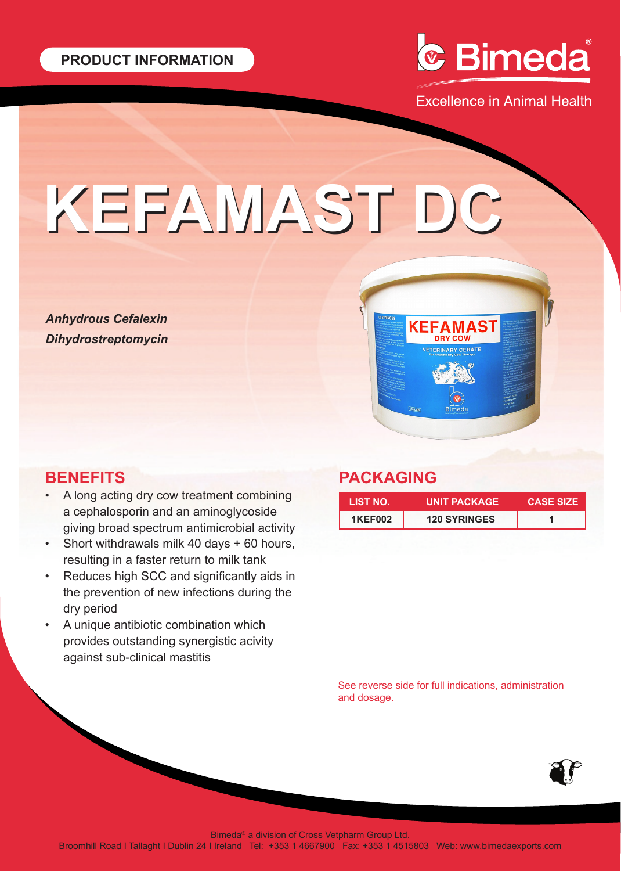

**Excellence in Animal Health** 

# **KEFAMAST DC KEFAMAST DC**

*Anhydrous Cefalexin Dihydrostreptomycin*

## **BENEFITS**

- A long acting dry cow treatment combining a cephalosporin and an aminoglycoside giving broad spectrum antimicrobial activity
- Short withdrawals milk 40 days + 60 hours, resulting in a faster return to milk tank
- Reduces high SCC and significantly aids in the prevention of new infections during the dry period
- A unique antibiotic combination which provides outstanding synergistic acivity against sub-clinical mastitis

### **PACKAGING**

| LIST NO.       | <b>UNIT PACKAGE</b> | <b>CASE SIZE</b> |
|----------------|---------------------|------------------|
| <b>1KEF002</b> | <b>120 SYRINGES</b> |                  |

See reverse side for full indications, administration and dosage.



Bimeda® a division of Cross Vetpharm Group Ltd.

Broomhill Road I Tallaght I Dublin 24 I Ireland Tel: +353 1 4667900 Fax: +353 1 4515803 Web: www.bimedaexports.com